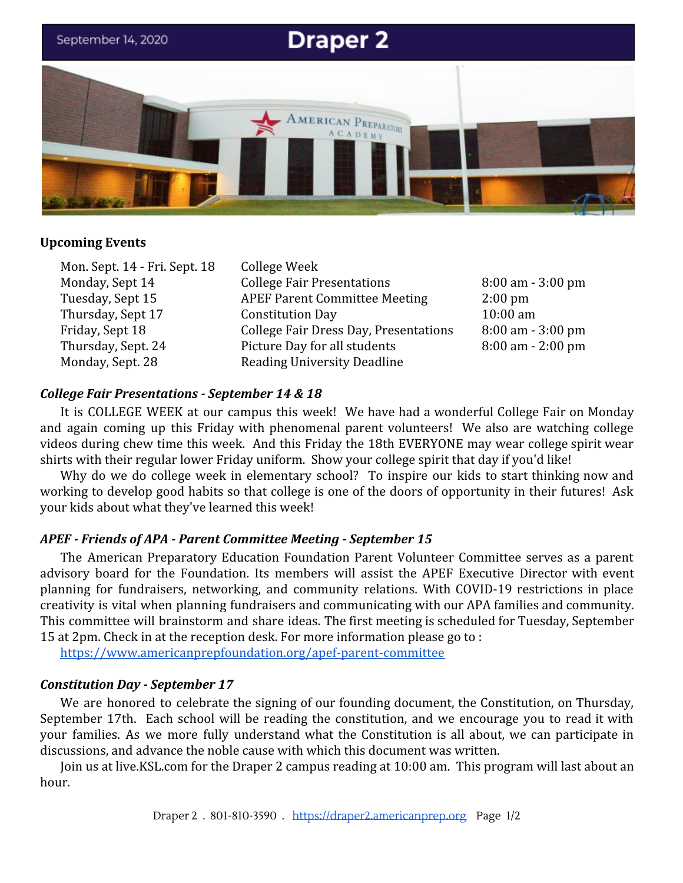

### **Upcoming Events**

Mon. Sept. 14 - Fri. Sept. 18 College Week

Monday, Sept 14 College Fair Presentations 8:00 am - 3:00 pm Tuesday, Sept 15 APEF Parent Committee Meeting 2:00 pm Thursday, Sept 17 Constitution Day 10:00 am Friday, Sept 18 College Fair Dress Day, Presentations 8:00 am - 3:00 pm Thursday, Sept. 24 Picture Day for all students 8:00 am - 2:00 pm Monday, Sept. 28 Reading University Deadline

### *College Fair Presentations - September 14 & 18*

It is COLLEGE WEEK at our campus this week! We have had a wonderful College Fair on Monday and again coming up this Friday with phenomenal parent volunteers! We also are watching college videos during chew time this week. And this Friday the 18th EVERYONE may wear college spirit wear shirts with their regular lower Friday uniform. Show your college spirit that day if you'd like!

Why do we do college week in elementary school? To inspire our kids to start thinking now and working to develop good habits so that college is one of the doors of opportunity in their futures! Ask your kids about what they've learned this week!

#### *APEF - Friends of APA - Parent Committee Meeting - September 15*

The American Preparatory Education Foundation Parent Volunteer Committee serves as a parent advisory board for the Foundation. Its members will assist the APEF Executive Director with event planning for fundraisers, networking, and community relations. With COVID-19 restrictions in place creativity is vital when planning fundraisers and communicating with our APA families and community. This committee will brainstorm and share ideas. The first meeting is scheduled for Tuesday, September 15 at 2pm. Check in at the reception desk. For more information please go to :

<https://www.americanprepfoundation.org/apef-parent-committee>

## *Constitution Day - September 17*

We are honored to celebrate the signing of our founding document, the Constitution, on Thursday, September 17th. Each school will be reading the constitution, and we encourage you to read it with your families. As we more fully understand what the Constitution is all about, we can participate in discussions, and advance the noble cause with which this document was written.

Join us at live.KSL.com for the Draper 2 campus reading at 10:00 am. This program will last about an hour.